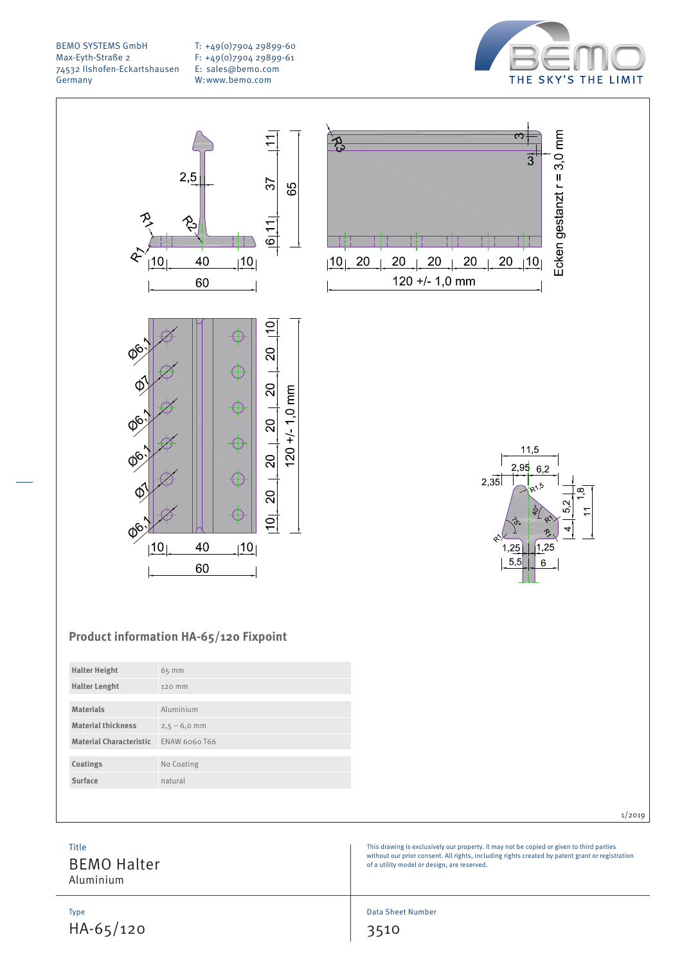T: +49(0)7904 29899-60 F: +49(0)7904 29899-61 E: sales@bemo.com W:www.bemo.com









1/2019

# **Product information HA-65/120 Fixpoint**

| <b>Halter Height</b>           | 65 mm          |
|--------------------------------|----------------|
| <b>Halter Lenght</b>           | 120 mm         |
|                                |                |
| <b>Materials</b>               | Aluminium      |
| <b>Material thickness</b>      | $2,5 - 6,0$ mm |
| <b>Material Characteristic</b> | ENAW 6060 T66  |
|                                |                |
| Coatings                       | No Coating     |
| Surface                        | natural        |
|                                |                |

J.

Data Sheet Number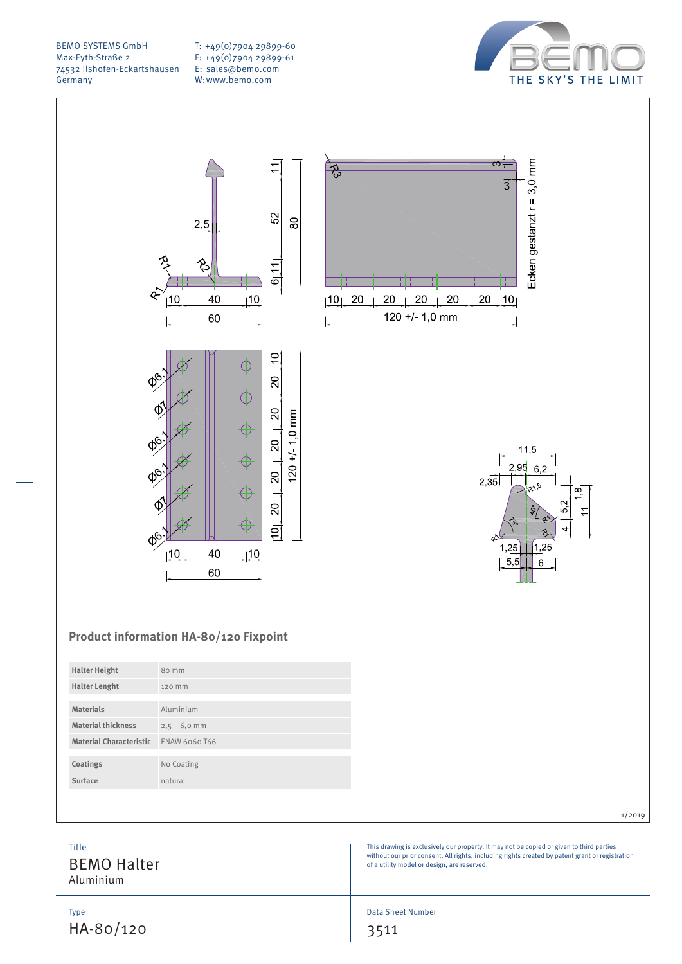T: +49(0)7904 29899-60 F: +49(0)7904 29899-61 E: sales@bemo.com W:www.bemo.com



Ecken gestanzt r = 3,0 mm

 $11,5$ 

 $1.25$ 

 $6\phantom{a}$ 

 $\infty$ 

 $95$  $6,2$ 

 $1.2<sup>t</sup>$ 

 $5,5$ 

 $2,35$ 

 $\overline{\mathfrak{S}}$ 

 $20$   $|10|$ 

 $\overline{3}$ 



# **Product information HA-80/120 Fixpoint**

| <b>Halter Height</b>           | 80 mm          |
|--------------------------------|----------------|
| <b>Halter Lenght</b>           | 120 mm         |
|                                |                |
| <b>Materials</b>               | Aluminium      |
| <b>Material thickness</b>      | $2,5 - 6,0$ mm |
| <b>Material Characteristic</b> | ENAW 6060 T66  |
|                                |                |
| Coatings                       | No Coating     |
| Surface                        | natural        |
|                                |                |

|                                          | 1/2019                                                                                                                                                                                                                                     |
|------------------------------------------|--------------------------------------------------------------------------------------------------------------------------------------------------------------------------------------------------------------------------------------------|
| Title<br><b>BEMO Halter</b><br>Aluminium | This drawing is exclusively our property. It may not be copied or given to third parties<br>without our prior consent. All rights, including rights created by patent grant or registration<br>of a utility model or design, are reserved. |
|                                          |                                                                                                                                                                                                                                            |

Data Sheet Number

 $20\,$ 

 $20\,$ 

 $120 + 1.0$  mm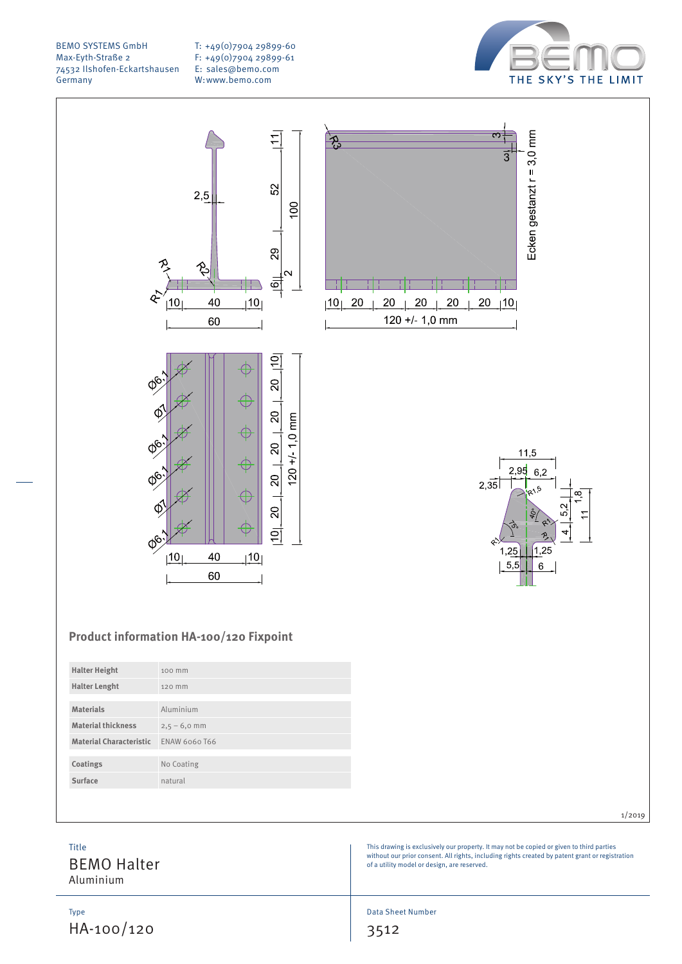T: +49(0)7904 29899-60 F: +49(0)7904 29899-61 E: sales@bemo.com W:www.bemo.com





1/2019

This drawing is exclusively our property. It may not be copied or given to third parties without our prior consent. All rights, including rights created by patent grant or registration of a utility model or design, are reserved.

Title

BEMO Halter Aluminium

**Materials** Aluminium **Material thickness**  $2,5 - 6,0$  mm **Material Characteristic** ENAW 6060 T66

**Coatings** No Coating **Surface** natural

Type HA-100/120 Data Sheet Number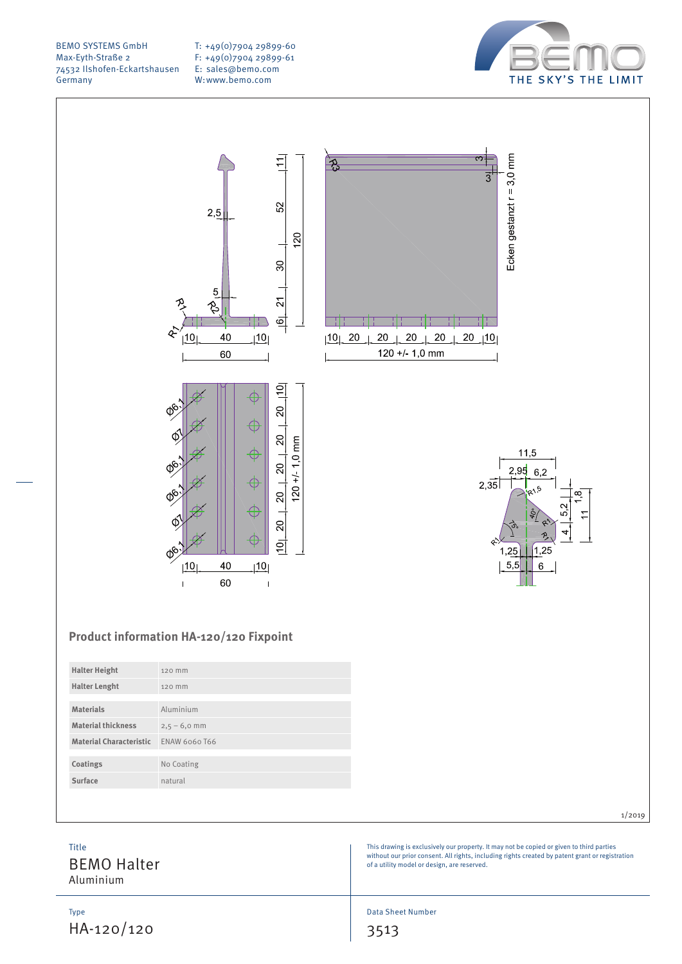T: +49(0)7904 29899-60 F: +49(0)7904 29899-61 E: sales@bemo.com W:www.bemo.com









# **Product information HA-120/120 Fixpoint**

| <b>Halter Height</b>           | 120 mm         |
|--------------------------------|----------------|
| <b>Halter Lenght</b>           | 120 mm         |
|                                |                |
| <b>Materials</b>               | Aluminium      |
| <b>Material thickness</b>      | $2,5 - 6,0$ mm |
| <b>Material Characteristic</b> | ENAW 6060 T66  |
|                                |                |
| Coatings                       | No Coating     |
| Surface                        | natural        |
|                                |                |

|                                                 | 1/2019                                                                                                                                                                                                                                     |
|-------------------------------------------------|--------------------------------------------------------------------------------------------------------------------------------------------------------------------------------------------------------------------------------------------|
| <b>Title</b><br><b>BEMO Halter</b><br>Aluminium | This drawing is exclusively our property. It may not be copied or given to third parties<br>without our prior consent. All rights, including rights created by patent grant or registration<br>of a utility model or design, are reserved. |
|                                                 |                                                                                                                                                                                                                                            |

Data Sheet Number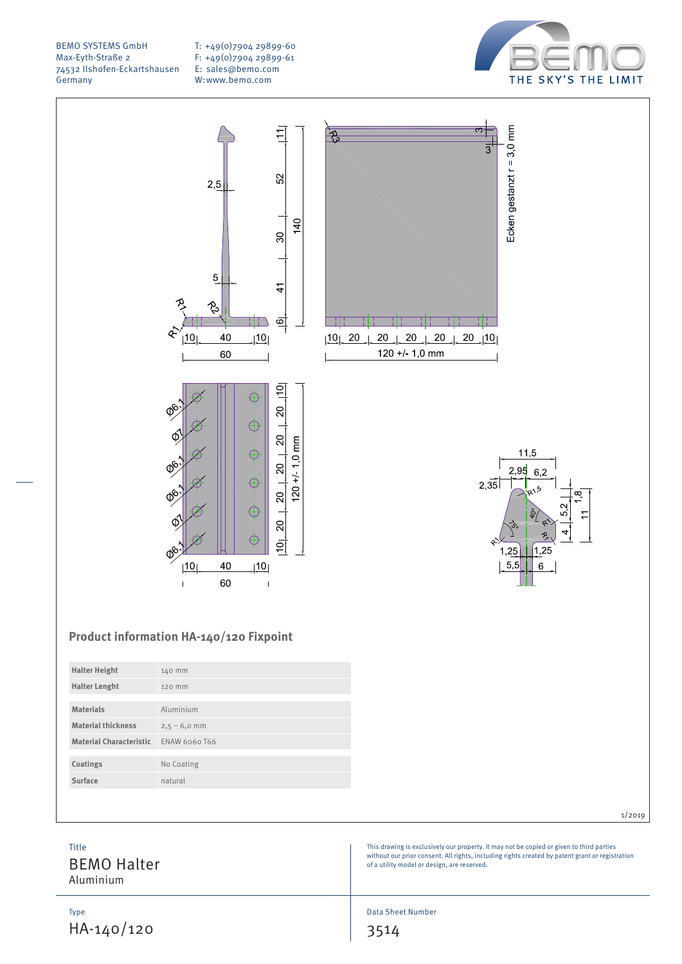T: +49(0)7904 29899-60 F: +49(0)7904 29899-61 E: sales@bemo.com W:www.bemo.com





# **Product information HA-140/120 Fixpoint**

| <b>Halter Height</b>           | 140 mm         |
|--------------------------------|----------------|
| <b>Halter Lenght</b>           | 120 mm         |
|                                |                |
| <b>Materials</b>               | Aluminium      |
| <b>Material thickness</b>      | $2,5 - 6,0$ mm |
| <b>Material Characteristic</b> | ENAW 6060 T66  |
|                                |                |
| Coatings                       | No Coating     |
| Surface                        | natural        |
|                                |                |

|  | 1/2019 |
|--|--------|

This drawing is exclusively our property. It may not be copied or given to third parties without our prior consent. All rights, including rights created by patent grant or registration of a utility model or design, are reserved.

Title

BEMO Halter Aluminium

Type HA-140/120 Data Sheet Number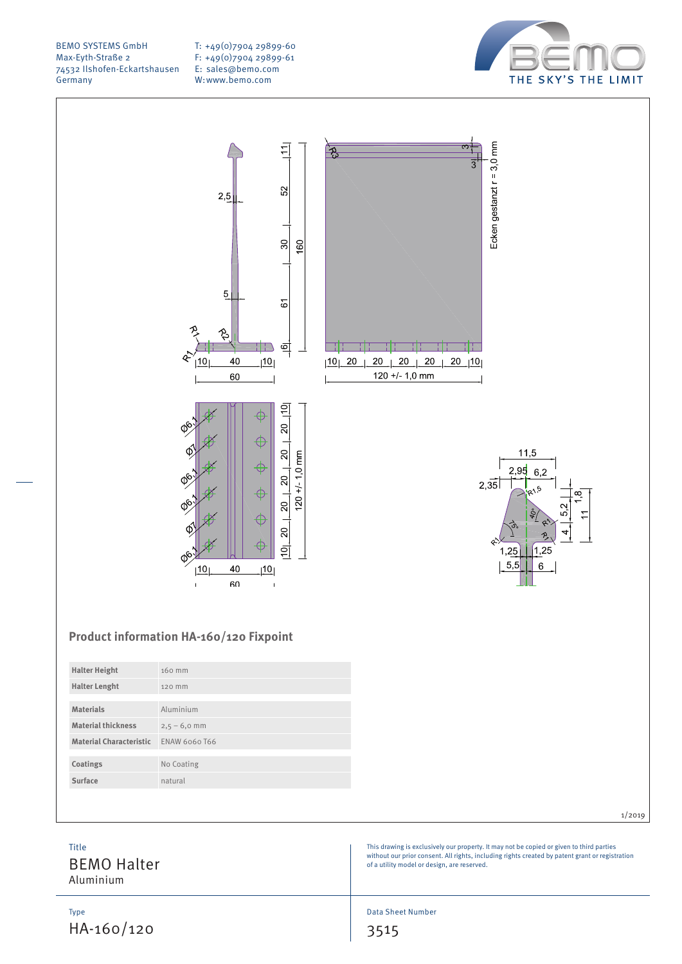T: +49(0)7904 29899-60 F: +49(0)7904 29899-61 E: sales@bemo.com W:www.bemo.com



Ecken gestanzt  $r = 3,0$  mm

 $11,5$ 

 $1,25$ 

6

 $2,95$ 6.2

 $1.25$  $5,5$ 

 $2,35$ 

 $\overline{3}$ 



# **Product information HA-160/120 Fixpoint**

| <b>Halter Height</b>           | 160 mm         |
|--------------------------------|----------------|
| <b>Halter Lenght</b>           | 120 mm         |
|                                |                |
| <b>Materials</b>               | Aluminium      |
| <b>Material thickness</b>      | $2,5 - 6,0$ mm |
| <b>Material Characteristic</b> | ENAW 6060 T66  |
|                                |                |
| Coatings                       | No Coating     |
| Surface                        | natural        |
|                                |                |

|                                          | 1/2019                                                                                                                                                                                                                                     |
|------------------------------------------|--------------------------------------------------------------------------------------------------------------------------------------------------------------------------------------------------------------------------------------------|
| Title<br><b>BEMO Halter</b><br>Aluminium | This drawing is exclusively our property. It may not be copied or given to third parties<br>without our prior consent. All rights, including rights created by patent grant or registration<br>of a utility model or design, are reserved. |
|                                          |                                                                                                                                                                                                                                            |

Data Sheet Number

3515

Type HA-160/120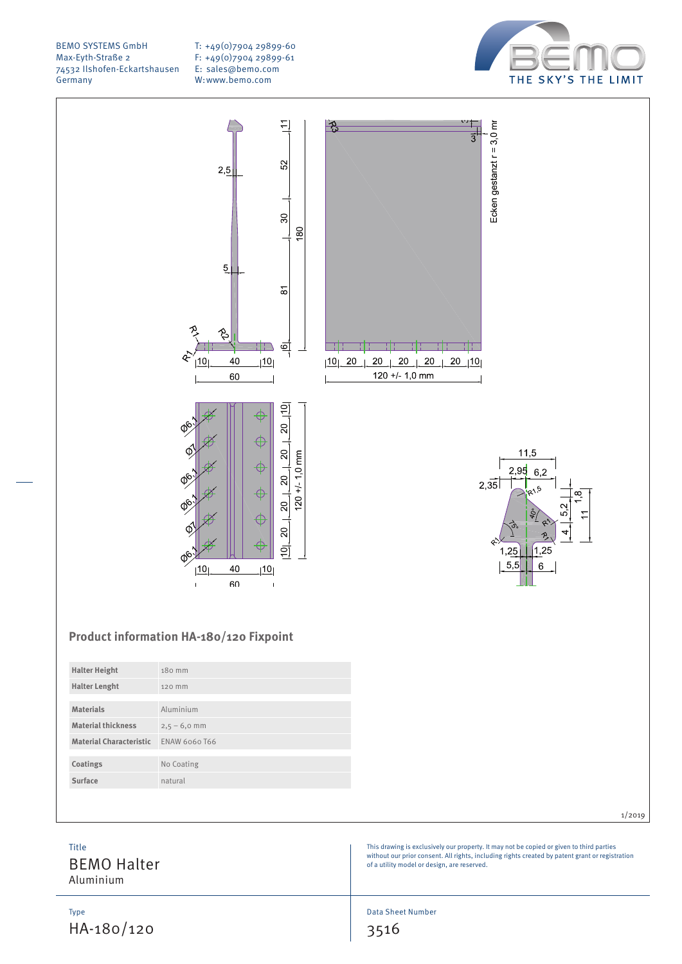T: +49(0)7904 29899-60 F: +49(0)7904 29899-61 E: sales@bemo.com W:www.bemo.com





# **Product information HA-180/120 Fixpoint**

| <b>Halter Height</b>           | 180 mm         |
|--------------------------------|----------------|
| <b>Halter Lenght</b>           | 120 mm         |
|                                |                |
| <b>Materials</b>               | Aluminium      |
| <b>Material thickness</b>      | $2,5 - 6,0$ mm |
| <b>Material Characteristic</b> | ENAW 6060 T66  |
|                                |                |
| Coatings                       | No Coating     |
| Surface                        | natural        |
|                                |                |

This drawing is exclusively our property. It may not be copied or given to third parties without our prior consent. All rights, including rights created by patent grant or registration of a utility model or design, are reserved.

Title

BEMO Halter Aluminium

Type HA-180/120 Data Sheet Number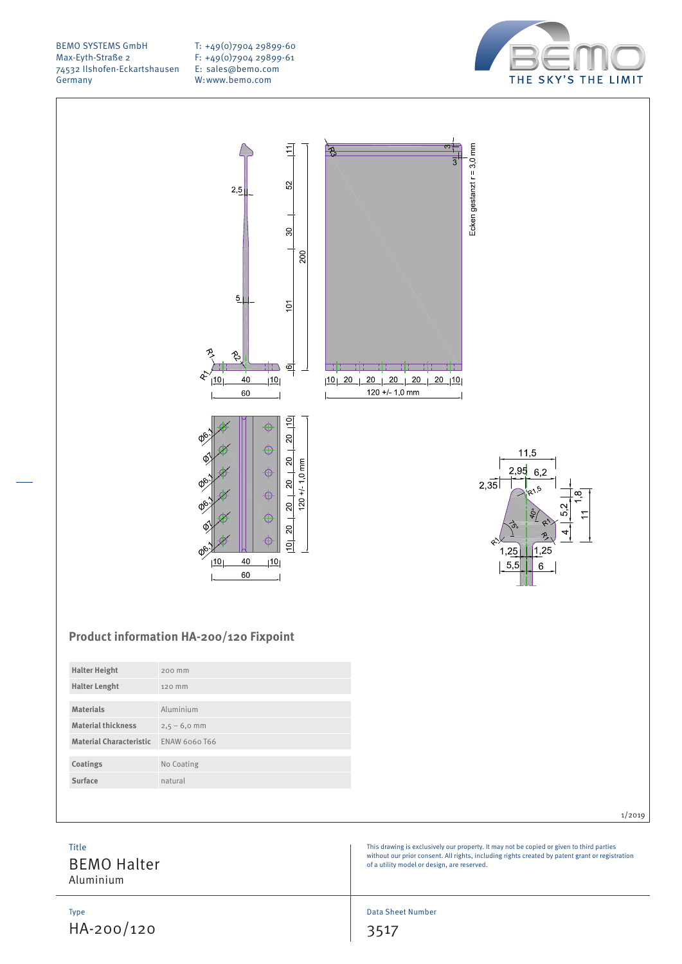T: +49(0)7904 29899-60 F: +49(0)7904 29899-61 E: sales@bemo.com W:www.bemo.com





# **Product information HA-200/120 Fixpoint**

| <b>Halter Height</b>           | 200 mm         |
|--------------------------------|----------------|
| <b>Halter Lenght</b>           | 120 mm         |
|                                |                |
| <b>Materials</b>               | Aluminium      |
| <b>Material thickness</b>      | $2,5 - 6,0$ mm |
| <b>Material Characteristic</b> | ENAW 6060 T66  |
|                                |                |
| Coatings                       | No Coating     |
| Surface                        | natural        |
|                                |                |

|--|

This drawing is exclusively our property. It may not be copied or given to third parties without our prior consent. All rights, including rights created by patent grant or registration of a utility model or design, are reserved.

# Title

BEMO Halter Aluminium

Type HA-200/120 Data Sheet Number